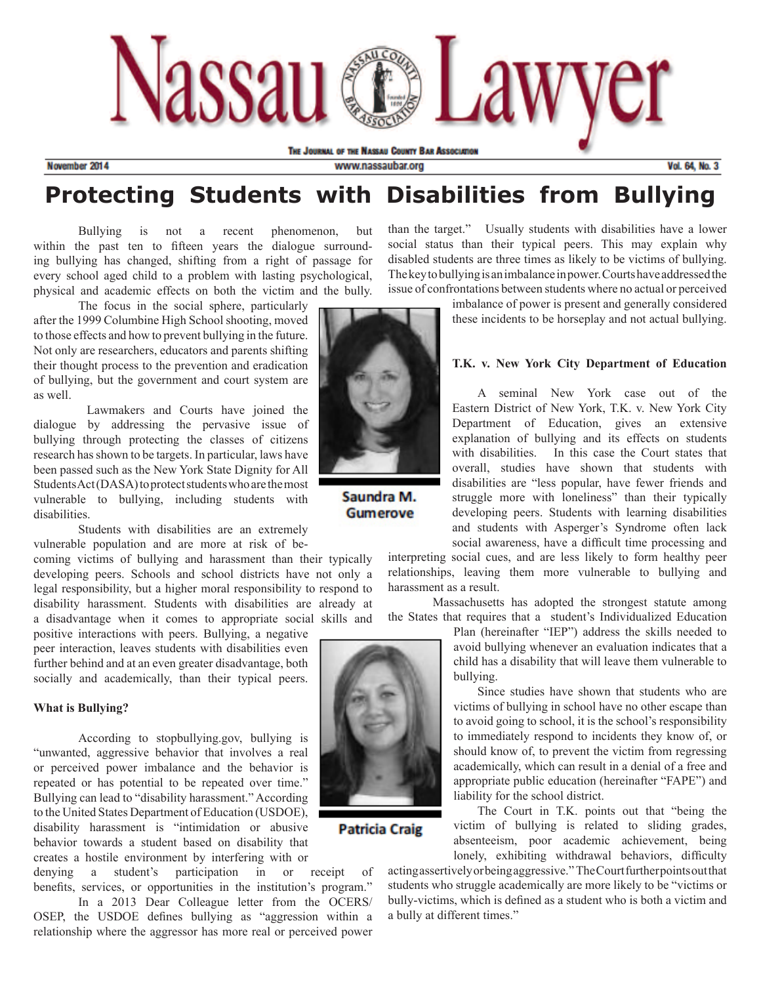

November 2014

www.nassaubar.org

**Vol. 64, No. 3** 

# **Protecting Students with Disabilities from Bullying**

Bullying is not a recent phenomenon, but within the past ten to fifteen years the dialogue surrounding bullying has changed, shifting from a right of passage for every school aged child to a problem with lasting psychological, physical and academic effects on both the victim and the bully.

The focus in the social sphere, particularly after the 1999 Columbine High School shooting, moved to those effects and how to prevent bullying in the future. Not only are researchers, educators and parents shifting their thought process to the prevention and eradication of bullying, but the government and court system are as well.

Lawmakers and Courts have joined the dialogue by addressing the pervasive issue of bullying through protecting the classes of citizens research hasshown to be targets. In particular, laws have been passed such as the New York State Dignity for All Students Act (DASA) to protect students who are the most vulnerable to bullying, including students with disabilities.

Students with disabilities are an extremely vulnerable population and are more at risk of be-

coming victims of bullying and harassment than their typically developing peers. Schools and school districts have not only a legal responsibility, but a higher moral responsibility to respond to disability harassment. Students with disabilities are already at a disadvantage when it comes to appropriate social skills and

positive interactions with peers. Bullying, a negative peer interaction, leaves students with disabilities even further behind and at an even greater disadvantage, both socially and academically, than their typical peers.

#### **What is Bullying?**

According to stopbullying.gov, bullying is "unwanted, aggressive behavior that involves a real or perceived power imbalance and the behavior is repeated or has potential to be repeated over time." Bullying can lead to "disability harassment." According to the United States Department of Education (USDOE), disability harassment is "intimidation or abusive behavior towards a student based on disability that creates a hostile environment by interfering with or

denying a student's participation in or receipt of benefits, services, or opportunities in the institution's program." In a 2013 Dear Colleague letter from the OCERS/ OSEP, the USDOE defines bullying as "aggression within a relationship where the aggressor has more real or perceived power



Saundra M. **Gumerove** 

than the target." Usually students with disabilities have a lower social status than their typical peers. This may explain why disabled students are three times as likely to be victims of bullying. The key to bullying is an imbalance in power. Courts have addressed the issue of confrontations between students where no actual or perceived

> imbalance of power is present and generally considered these incidents to be horseplay and not actual bullying.

### **T.K. v. New York City Department of Education**

 A seminal New York case out of the Eastern District of New York, T.K. v. New York City Department of Education, gives an extensive explanation of bullying and its effects on students with disabilities. In this case the Court states that overall, studies have shown that students with disabilities are "less popular, have fewer friends and struggle more with loneliness" than their typically developing peers. Students with learning disabilities and students with Asperger's Syndrome often lack social awareness, have a difficult time processing and

interpreting social cues, and are less likely to form healthy peer relationships, leaving them more vulnerable to bullying and harassment as a result.

Massachusetts has adopted the strongest statute among the States that requires that a student's Individualized Education

> Plan (hereinafter "IEP") address the skills needed to avoid bullying whenever an evaluation indicates that a child has a disability that will leave them vulnerable to bullying.

> Since studies have shown that students who are victims of bullying in school have no other escape than to avoid going to school, it is the school's responsibility to immediately respond to incidents they know of, or should know of, to prevent the victim from regressing academically, which can result in a denial of a free and appropriate public education (hereinafter "FAPE") and liability for the school district.

> The Court in T.K. points out that "being the victim of bullying is related to sliding grades, absenteeism, poor academic achievement, being lonely, exhibiting withdrawal behaviors, difficulty

actingassertivelyorbeingaggressive." TheCourtfurtherpointsoutthat students who struggle academically are more likely to be "victims or bully-victims, which is defined as a student who is both a victim and a bully at different times."



**Patricia Craig**